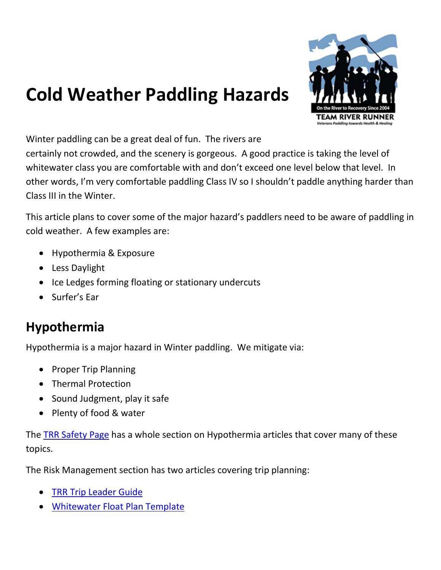# Cold Weather Paddling Hazards



Winter paddling can be a great deal of fun. The rivers are

certainly not crowded, and the scenery is gorgeous. A good practice is taking the level of whitewater class you are comfortable with and don't exceed one level below that level. In other words, I'm very comfortable paddling Class IV so I shouldn't paddle anything harder than Class III in the Winter.

This article plans to cover some of the major hazard's paddlers need to be aware of paddling in cold weather. A few examples are:

- Hypothermia & Exposure
- Less Daylight
- Ice Ledges forming floating or stationary undercuts
- Surfer's Ear

#### Hypothermia

Hypothermia is a major hazard in Winter paddling. We mitigate via:

- Proper Trip Planning
- Thermal Protection
- Sound Judgment, play it safe
- Plenty of food & water

The TRR Safety Page has a whole section on Hypothermia articles that cover many of these topics.

The Risk Management section has two articles covering trip planning:

- TRR Trip Leader Guide
- Whitewater Float Plan Template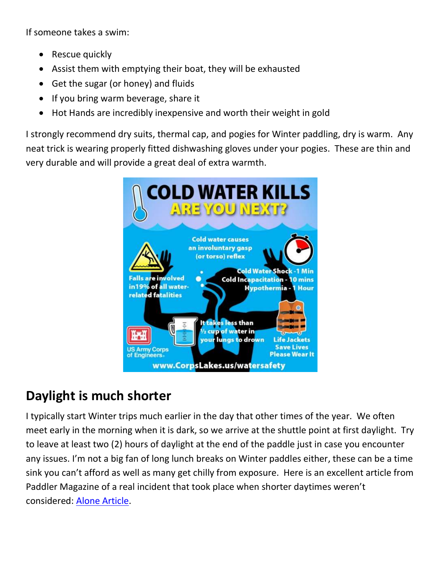If someone takes a swim:

- Rescue quickly
- Assist them with emptying their boat, they will be exhausted
- Get the sugar (or honey) and fluids
- If you bring warm beverage, share it
- Hot Hands are incredibly inexpensive and worth their weight in gold

I strongly recommend dry suits, thermal cap, and pogies for Winter paddling, dry is warm. Any neat trick is wearing properly fitted dishwashing gloves under your pogies. These are thin and very durable and will provide a great deal of extra warmth.



### Daylight is much shorter

I typically start Winter trips much earlier in the day that other times of the year. We often meet early in the morning when it is dark, so we arrive at the shuttle point at first daylight. Try to leave at least two (2) hours of daylight at the end of the paddle just in case you encounter any issues. I'm not a big fan of long lunch breaks on Winter paddles either, these can be a time sink you can't afford as well as many get chilly from exposure. Here is an excellent article from Paddler Magazine of a real incident that took place when shorter daytimes weren't considered: Alone Article.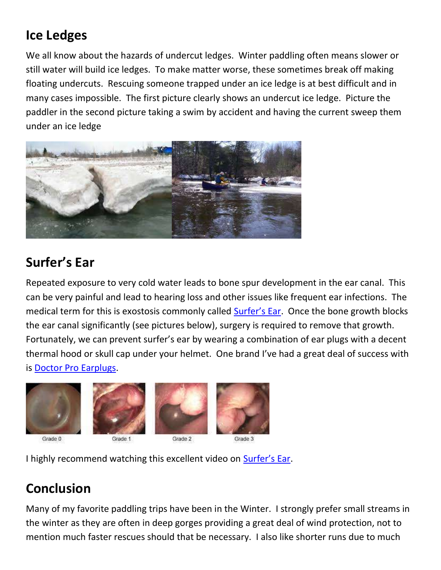# Ice Ledges

We all know about the hazards of undercut ledges. Winter paddling often means slower or still water will build ice ledges. To make matter worse, these sometimes break off making floating undercuts. Rescuing someone trapped under an ice ledge is at best difficult and in many cases impossible. The first picture clearly shows an undercut ice ledge. Picture the paddler in the second picture taking a swim by accident and having the current sweep them under an ice ledge



# Surfer's Ear

Repeated exposure to very cold water leads to bone spur development in the ear canal. This can be very painful and lead to hearing loss and other issues like frequent ear infections. The medical term for this is exostosis commonly called **Surfer's Ear.** Once the bone growth blocks the ear canal significantly (see pictures below), surgery is required to remove that growth. Fortunately, we can prevent surfer's ear by wearing a combination of ear plugs with a decent thermal hood or skull cap under your helmet. One brand I've had a great deal of success with is Doctor Pro Earplugs.



I highly recommend watching this excellent video on **Surfer's Ear**.

### Conclusion

Many of my favorite paddling trips have been in the Winter. I strongly prefer small streams in the winter as they are often in deep gorges providing a great deal of wind protection, not to mention much faster rescues should that be necessary. I also like shorter runs due to much